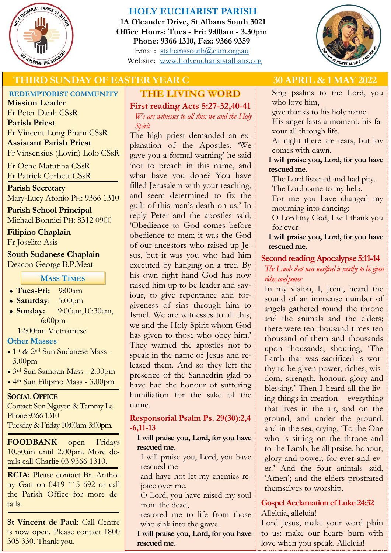

## **HOLY EUCHARIST PARISH**

**1A Oleander Drive, St Albans South 3021 Office Hours: Tues - Fri: 9:00am - 3.30pm Phone: 9366 1310, Fax: 9366 9359** Email: [stalbanssouth@cam.org.au](mailto:stalbanssouth@cam.org.au) Website:[www.holyeuchariststalbans.org](http://www.holyeuchariststalbans.org)



## **THIRD SUNDAY OF EASTER YEAR C 30 APRIL & 1 MAY 2022**

#### **REDEMPTORIST COMMUNITY**

**Mission Leader** Fr Peter Danh CSsR **Parish Priest** Fr Vincent Long Pham CSsR **Assistant Parish Priest**  Fr Vinsensius (Lovin) Lolo CSsR

Fr Oche Matutina CSsR Fr Patrick Corbett CSsR

**Parish Secretary** Mary-Lucy Atonio PH: 9366 1310

**Parish School Principal** Michael Bonnici PH: 8312 0900

**Filipino Chaplain** Fr Joselito Asis

# **South Sudanese Chaplain**

Deacon George B.P.Meat

## **MASS TIMES**

- **Tues-Fri:** 9:00am
- **Saturday**: 5:00pm
- **Sunday:** 9:00am,10:30am, 6:00pm

12:00pm Vietnamese

## **Other Masses**

- 1st & 2nd Sun Sudanese Mass 3.00pm
- 3rd Sun Samoan Mass 2.00pm
- 4th Sun Filipino Mass 3.00pm

## **SOCIAL OFFICE**

Contact: Son Nguyen & Tammy Le Phone 9366 1310 Tuesday & Friday 10:00am-3:00pm.

**FOODBANK** open Fridays 10.30am until 2.00pm. More details call Charlie 03 9366 1310.

**RCIA:** Please contact Br. Anthony Gatt on 0419 115 692 or call the Parish Office for more details.

**St Vincent de Paul:** Call Centre is now open. Please contact 1800 305 330. Thank you.

## **THE LIVING WORD**

#### **First reading Acts 5:27-32,40-41**

*We are witnesses to all this: we and the Holy Spirit*

The high priest demanded an explanation of the Apostles. 'We gave you a formal warning' he said 'not to preach in this name, and what have you done? You have filled Jerusalem with your teaching, and seem determined to fix the guilt of this man's death on us.' In reply Peter and the apostles said, 'Obedience to God comes before obedience to men; it was the God of our ancestors who raised up Jesus, but it was you who had him executed by hanging on a tree. By his own right hand God has now raised him up to be leader and saviour, to give repentance and forgiveness of sins through him to Israel. We are witnesses to all this, we and the Holy Spirit whom God has given to those who obey him.' They warned the apostles not to speak in the name of Jesus and released them. And so they left the presence of the Sanhedrin glad to have had the honour of suffering humiliation for the sake of the name.

#### **Responsorial Psalm Ps. 29(30):2,4 -6,11-13**

#### **I will praise you, Lord, for you have rescued me.**

I will praise you, Lord, you have rescued me

and have not let my enemies rejoice over me.

O Lord, you have raised my soul from the dead,

restored me to life from those who sink into the grave.

**I will praise you, Lord, for you have rescued me.**

Sing psalms to the Lord, you who love him,

give thanks to his holy name.

His anger lasts a moment; his favour all through life.

At night there are tears, but joy comes with dawn.

#### **I will praise you, Lord, for you have rescued me.**

The Lord listened and had pity. The Lord came to my help.

For me you have changed my mourning into dancing:

O Lord my God, I will thank you for ever.

**I will praise you, Lord, for you have rescued me.**

## **Second reading Apocalypse 5:11-14**

#### *The Lamb that was sacrificed is worthy to be given riches and power*

In my vision, I, John, heard the sound of an immense number of angels gathered round the throne and the animals and the elders; there were ten thousand times ten thousand of them and thousands upon thousands, shouting, 'The Lamb that was sacrificed is worthy to be given power, riches, wisdom, strength, honour, glory and blessing.' Then I heard all the living things in creation – everything that lives in the air, and on the ground, and under the ground, and in the sea, crying, 'To the One who is sitting on the throne and to the Lamb, be all praise, honour, glory and power, for ever and ever.' And the four animals said, 'Amen'; and the elders prostrated themselves to worship.

#### **Gospel Acclamation cf Luke 24:32** Alleluia, alleluia!

Lord Jesus, make your word plain to us: make our hearts burn with love when you speak. Alleluia!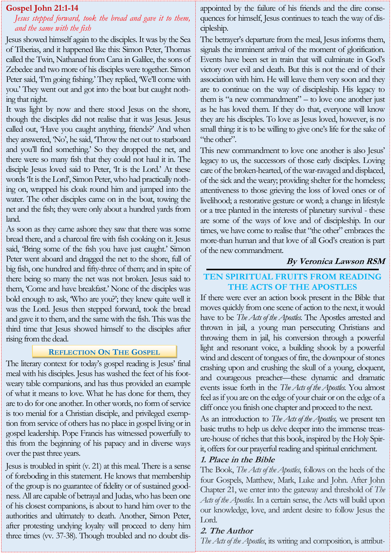#### **Gospel John 21:1-14**

#### *Jesus stepped forward, took the bread and gave it to them, and the same with the fish*

Jesus showed himself again to the disciples. It was by the Sea of Tiberias, and it happened like this: Simon Peter, Thomas called the Twin, Nathanael from Cana in Galilee, the sons of Zebedee and two more of his disciples were together. Simon Peter said, 'I'm going fishing.' They replied, 'We'll come with you.' They went out and got into the boat but caught nothing that night.

It was light by now and there stood Jesus on the shore, though the disciples did not realise that it was Jesus. Jesus called out, 'Have you caught anything, friends?' And when they answered, No', he said, 'Throw the net out to starboard and you'll find something.' So they dropped the net, and there were so many fish that they could not haul it in. The disciple Jesus loved said to Peter, 'It is the Lord.' At these words 'It is the Lord', Simon Peter, who had practically nothing on, wrapped his cloak round him and jumped into the water. The other disciples came on in the boat, towing the net and the fish; they were only about a hundred yards from land.

As soon as they came ashore they saw that there was some bread there, and a charcoal fire with fish cooking on it. Jesus said, 'Bring some of the fish you have just caught.' Simon Peter went aboard and dragged the net to the shore, full of big fish, one hundred and fifty-three of them; and in spite of there being so many the net was not broken. Jesus said to them, 'Come and have breakfast.' None of the disciples was bold enough to ask, 'Who are you?'; they knew quite well it was the Lord. Jesus then stepped forward, took the bread and gave it to them, and the same with the fish. This was the third time that Jesus showed himself to the disciples after rising from the dead.

#### **REFLECTION ON THE GOSPEL**

The literary context for today's gospel reading is Jesus' final meal with his disciples. Jesus has washed the feet of his footweary table companions, and has thus provided an example of what it means to love. What he has done for them, they are to do for one another. In other words, no form of service is too menial for a Christian disciple, and privileged exemption from service of others has no place in gospel living or in gospel leadership. Pope Francis has witnessed powerfully to this from the beginning of his papacy and in diverse ways over the past three years.

Jesus is troubled in spirit (v. 21) at this meal. There is a sense of foreboding in this statement. He knows that membership of the group is no guarantee of fidelity or of sustained goodness. All are capable of betrayal and Judas, who has been one of his closest companions, is about to hand him over to the authorities and ultimately to death. Another, Simon Peter, after protesting undying loyalty will proceed to deny him three times (vv. 37-38). Though troubled and no doubt disappointed by the failure of his friends and the dire consequences for himself, Jesus continues to teach the way of discipleship.

The betrayer's departure from the meal, Jesus informs them, signals the imminent arrival of the moment of glorification. Events have been set in train that will culminate in God's victory over evil and death. But this is not the end of their association with him. He will leave them very soon and they are to continue on the way of discipleship. His legacy to them is "a new commandment" – to love one another just as he has loved them. If they do that, everyone will know they are his disciples. To love as Jesus loved, however, is no small thing: it is to be willing to give one's life for the sake of "the other".

This new commandment to love one another is also Jesus' legacy to us, the successors of those early disciples. Loving care of the broken-hearted, of the war-ravaged and displaced, of the sick and the weary; providing shelter for the homeless; attentiveness to those grieving the loss of loved ones or of livelihood; a restorative gesture or word; a change in lifestyle or a tree planted in the interests of planetary survival - these are some of the ways of love and of discipleship. In our times, we have come to realise that "the other" embraces the more-than human and that love of all God's creation is part of the new commandment.

#### **By Veronica Lawson RSM**

## **TEN SPIRITUAL FRUITS FROM READING THE ACTS OF THE APOSTLES**

If there were ever an action book present in the Bible that moves quickly from one scene of action to the next, it would have to be *The Acts of the Apostles*. The Apostles arrested and thrown in jail, a young man persecuting Christians and throwing them in jail, his conversion through a powerful light and resonant voice, a building shook by a powerful wind and descent of tongues of fire, the downpour of stones crashing upon and crushing the skull of a young, eloquent, and courageous preacher—these dynamic and dramatic events issue forth in the *The Acts of the Apostles*. You almost feel as if you are on the edge of your chair or on the edge of a cliff once you finish one chapter and proceed to the next.

As an introduction to *The Acts of the Apostles,* we present ten basic truths to help us delve deeper into the immense treasure-house of riches that this book, inspired by the Holy Spirit, offers for our prayerful reading and spiritual enrichment.

#### **1. Place in the Bible**

The Book, *The Acts of the Apostles*, follows on the heels of the four Gospels, Matthew, Mark, Luke and John. After John Chapter 21, we enter into the gateway and threshold of *The Acts of the Apostles*. In a certain sense, the Acts will build upon our knowledge, love, and ardent desire to follow Jesus the Lord.

#### **2. The Author**

*The Acts of the Apostles*, its writing and composition, is attribut-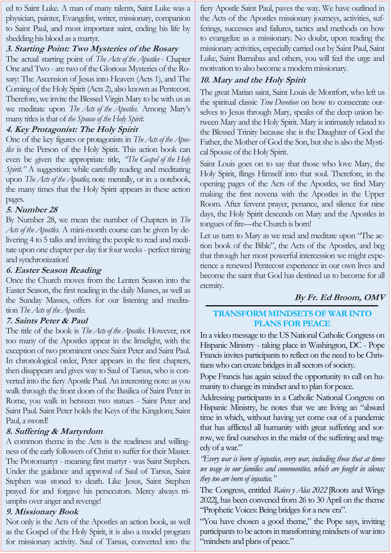ed to Saint Luke. A man of many talents, Saint Luke was a physician, painter, Evangelist, writer, missionary, companion to Saint Paul, and most important saint, ending his life by shedding his blood as a martyr.

## **3. Starting Point: Two Mysteries of the Rosary**

The actual starting point of *The Acts of the Apostles* - Chapter One and Two - are two of the Glorious Mysteries of the Rosary: The Ascension of Jesus into Heaven (Acts 1), and The Coming of the Holy Spirit (Acts 2), also known as Pentecost. Therefore, we invite the Blessed Virgin Mary to be with us as we meditate upon *The Acts of the Apostles*. Among Mary's many titles is that of*the Spouse of the Holy Spirit.*

## **4. Key Protagonist: The Holy Spirit**

One of the key figures or protagonists in *The Acts of the Apostles* is the Person of the Holy Spirit. This action book can even be given the appropriate title, *"The Gospel of the Holy Spirit.*" A suggestion: while carefully reading and meditating upon *The Acts of the Apostles,* note mentally, or in a notebook, the many times that the Holy Spirit appears in these action pages.

## **5. Number 28**

By Number 28, we mean the number of Chapters in *The Acts of the Apostles.* A mini-month course can be given by delivering 4 to 5 talks and inviting the people to read and meditate upon one chapter per day for four weeks - perfect timing and synchronization!

## **6. Easter Season Reading**

Once the Church moves from the Lenten Season into the Easter Season, the first reading in the daily Masses, as well as the Sunday Masses, offers for our listening and meditation*The Acts of the Apostles.*

## **7. Saints Peter & Paul**

The title of the book is *The Acts of the Apostles.* However, not too many of the Apostles appear in the limelight, with the exception of two prominent ones: Saint Peter and Saint Paul. In chronological order, Peter appears in the first chapters, then disappears and gives way to Saul of Tarsus, who is converted into the fiery Apostle Paul. An interesting note: as you walk through the front doors of the Basilica of Saint Peter in Rome, you walk in between two statues - Saint Peter and Saint Paul. Saint Peter holds the Keys of the Kingdom; Saint Paul, a sword!

## **8. Suffering & Martyrdom**

A common theme in the Acts is the readiness and willingness of the early followers of Christ to suffer for their Master. The Protomartyr - meaning first martyr - was Saint Stephen. Under the guidance and approval of Saul of Tarsus, Saint Stephen was stoned to death. Like Jesus, Saint Stephen prayed for and forgave his persecutors. Mercy always triumphs over anger and revenge!

## **9. Missionary Book**

Not only is the Acts of the Apostles an action book, as well as the Gospel of the Holy Spirit, it is also a model program for missionary activity. Saul of Tarsus, converted into the

fiery Apostle Saint Paul, paves the way. We have outlined in the Acts of the Apostles missionary journeys, activities, sufferings, successes and failures, tactics and methods on how to evangelize as a missionary. No doubt, upon reading the missionary activities, especially carried out by Saint Paul, Saint Luke, Saint Barnabas and others, you will feel the urge and motivation to also become a modern missionary.

## **10. Mary and the Holy Spirit**

The great Marian saint, Saint Louis de Montfort, who left us the spiritual classic *True Devotion* on how to consecrate ourselves to Jesus through Mary, speaks of the deep union between Mary and the Holy Spirit. Mary is intimately related to the Blessed Trinity because she is the Daughter of God the Father, the Mother of God the Son, but she is also the Mystical Spouse of the Holy Spirit.

Saint Louis goes on to say that those who love Mary, the Holy Spirit, flings Himself into that soul. Therefore, in the opening pages of the Acts of the Apostles, we find Mary making the first novena with the Apostles in the Upper Room. After fervent prayer, penance, and silence for nine days, the Holy Spirit descends on Mary and the Apostles in tongues of fire—the Church is born!

Let us turn to Mary as we read and meditate upon "The action book of the Bible", the Acts of the Apostles, and beg that through her most powerful intercession we might experience a renewed Pentecost experience in our own lives and become the saint that God has destined us to become for all eternity.

## **By Fr. Ed Broom, OMV**

## **TRANSFORM MINDSETS OF WAR INTO PLANS FOR PEACE**

In a video message to the US National Catholic Congress on Hispanic Ministry - taking place in Washington, DC - Pope Francis invites participants to reflect on the need to be Christians who can create bridges in all sectors of society.

Pope Francis has again seized the opportunity to call on humanity to change its mindset and to plan for peace.

Addressing participants in a Catholic National Congress on Hispanic Ministry, he notes that we are living an "absurd time in which, without having yet come out of a pandemic that has afflicted all humanity with great suffering and sorrow, we find ourselves in the midst of the suffering and tragedy of awar."

*"Every war is born of injustice, every war, including those that at times we wage in our families and communities, which are fought in silence; they too are born of injustice."*

The Congress, entitled *Raíces y Alas 2022* [Roots and Wings 2022], has been convened from 26 to 30 April on the theme "Prophetic Voices: Being bridges for a new era".

"You have chosen a good theme," the Pope says, inviting participants to be actors in transforming mindsets of war into "mindsets and plans of peace."